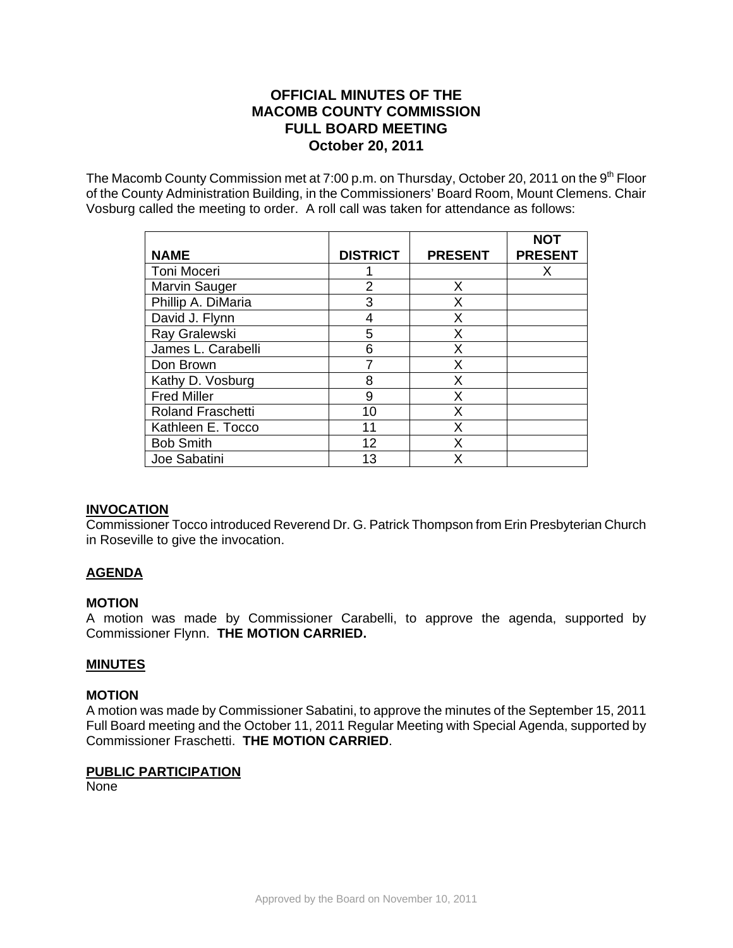# **OFFICIAL MINUTES OF THE MACOMB COUNTY COMMISSION FULL BOARD MEETING October 20, 2011**

The Macomb County Commission met at 7:00 p.m. on Thursday, October 20, 2011 on the  $9<sup>th</sup>$  Floor of the County Administration Building, in the Commissioners' Board Room, Mount Clemens. Chair Vosburg called the meeting to order. A roll call was taken for attendance as follows:

| <b>NAME</b>              | <b>DISTRICT</b> | <b>PRESENT</b> | <b>NOT</b><br><b>PRESENT</b> |
|--------------------------|-----------------|----------------|------------------------------|
| Toni Moceri              |                 |                | x                            |
| Marvin Sauger            | 2               | X              |                              |
| Phillip A. DiMaria       | 3               | X              |                              |
| David J. Flynn           | 4               | Χ              |                              |
| Ray Gralewski            | 5               | X              |                              |
| James L. Carabelli       | 6               | Χ              |                              |
| Don Brown                |                 | X              |                              |
| Kathy D. Vosburg         | 8               | Χ              |                              |
| <b>Fred Miller</b>       | 9               | X              |                              |
| <b>Roland Fraschetti</b> | 10              | Χ              |                              |
| Kathleen E. Tocco        | 11              | x              |                              |
| <b>Bob Smith</b>         | 12              | x              |                              |
| Joe Sabatini             | 13              | x              |                              |

# **INVOCATION**

Commissioner Tocco introduced Reverend Dr. G. Patrick Thompson from Erin Presbyterian Church in Roseville to give the invocation.

# **AGENDA**

#### **MOTION**

A motion was made by Commissioner Carabelli, to approve the agenda, supported by Commissioner Flynn. **THE MOTION CARRIED.** 

#### **MINUTES**

#### **MOTION**

A motion was made by Commissioner Sabatini, to approve the minutes of the September 15, 2011 Full Board meeting and the October 11, 2011 Regular Meeting with Special Agenda, supported by Commissioner Fraschetti. **THE MOTION CARRIED**.

#### **PUBLIC PARTICIPATION**

None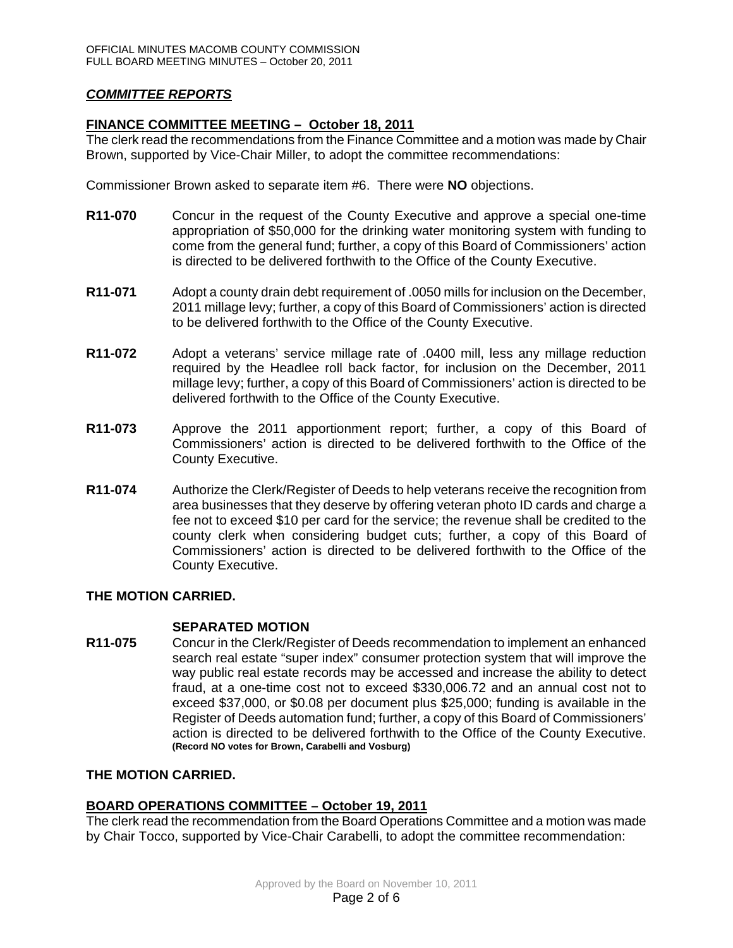# *COMMITTEE REPORTS*

### **FINANCE COMMITTEE MEETING – October 18, 2011**

The clerk read the recommendations from the Finance Committee and a motion was made by Chair Brown, supported by Vice-Chair Miller, to adopt the committee recommendations:

Commissioner Brown asked to separate item #6. There were **NO** objections.

- **R11-070** Concur in the request of the County Executive and approve a special one-time appropriation of \$50,000 for the drinking water monitoring system with funding to come from the general fund; further, a copy of this Board of Commissioners' action is directed to be delivered forthwith to the Office of the County Executive.
- **R11-071** Adopt a county drain debt requirement of .0050 mills for inclusion on the December, 2011 millage levy; further, a copy of this Board of Commissioners' action is directed to be delivered forthwith to the Office of the County Executive.
- **R11-072** Adopt a veterans' service millage rate of .0400 mill, less any millage reduction required by the Headlee roll back factor, for inclusion on the December, 2011 millage levy; further, a copy of this Board of Commissioners' action is directed to be delivered forthwith to the Office of the County Executive.
- **R11-073** Approve the 2011 apportionment report; further, a copy of this Board of Commissioners' action is directed to be delivered forthwith to the Office of the County Executive.
- **R11-074** Authorize the Clerk/Register of Deeds to help veterans receive the recognition from area businesses that they deserve by offering veteran photo ID cards and charge a fee not to exceed \$10 per card for the service; the revenue shall be credited to the county clerk when considering budget cuts; further, a copy of this Board of Commissioners' action is directed to be delivered forthwith to the Office of the County Executive.

#### **THE MOTION CARRIED.**

#### **SEPARATED MOTION**

**R11-075** Concur in the Clerk/Register of Deeds recommendation to implement an enhanced search real estate "super index" consumer protection system that will improve the way public real estate records may be accessed and increase the ability to detect fraud, at a one-time cost not to exceed \$330,006.72 and an annual cost not to exceed \$37,000, or \$0.08 per document plus \$25,000; funding is available in the Register of Deeds automation fund; further, a copy of this Board of Commissioners' action is directed to be delivered forthwith to the Office of the County Executive. **(Record NO votes for Brown, Carabelli and Vosburg)**

#### **THE MOTION CARRIED.**

#### **BOARD OPERATIONS COMMITTEE – October 19, 2011**

The clerk read the recommendation from the Board Operations Committee and a motion was made by Chair Tocco, supported by Vice-Chair Carabelli, to adopt the committee recommendation: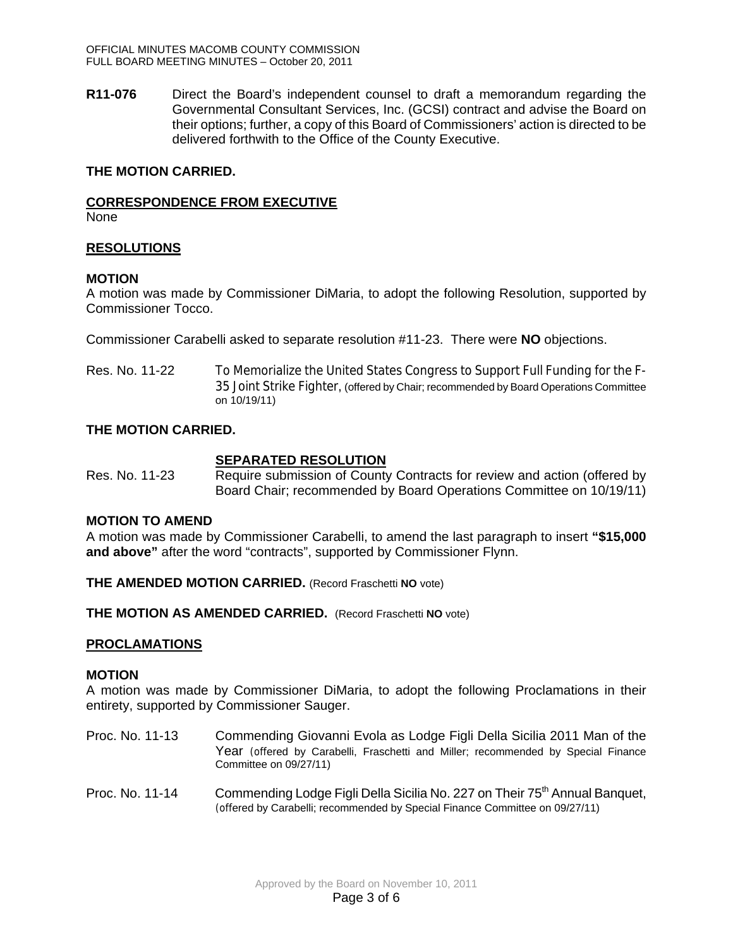**R11-076** Direct the Board's independent counsel to draft a memorandum regarding the Governmental Consultant Services, Inc. (GCSI) contract and advise the Board on their options; further, a copy of this Board of Commissioners' action is directed to be delivered forthwith to the Office of the County Executive.

### **THE MOTION CARRIED.**

### **CORRESPONDENCE FROM EXECUTIVE**

None

### **RESOLUTIONS**

#### **MOTION**

A motion was made by Commissioner DiMaria, to adopt the following Resolution, supported by Commissioner Tocco.

Commissioner Carabelli asked to separate resolution #11-23. There were **NO** objections.

Res. No. 11-22 To Memorialize the United States Congress to Support Full Funding for the F-35 Joint Strike Fighter, (offered by Chair; recommended by Board Operations Committee on 10/19/11)

### **THE MOTION CARRIED.**

### **SEPARATED RESOLUTION**

Res. No. 11-23 Require submission of County Contracts for review and action (offered by Board Chair; recommended by Board Operations Committee on 10/19/11)

#### **MOTION TO AMEND**

A motion was made by Commissioner Carabelli, to amend the last paragraph to insert **"\$15,000 and above"** after the word "contracts", supported by Commissioner Flynn.

**THE AMENDED MOTION CARRIED.** (Record Fraschetti **NO** vote)

**THE MOTION AS AMENDED CARRIED.** (Record Fraschetti **NO** vote)

#### **PROCLAMATIONS**

#### **MOTION**

A motion was made by Commissioner DiMaria, to adopt the following Proclamations in their entirety, supported by Commissioner Sauger.

- Proc. No. 11-13 Commending Giovanni Evola as Lodge Figli Della Sicilia 2011 Man of the Year (offered by Carabelli, Fraschetti and Miller; recommended by Special Finance Committee on 09/27/11)
- Proc. No. 11-14 Commending Lodge Figli Della Sicilia No. 227 on Their 75<sup>th</sup> Annual Banquet, (offered by Carabelli; recommended by Special Finance Committee on 09/27/11)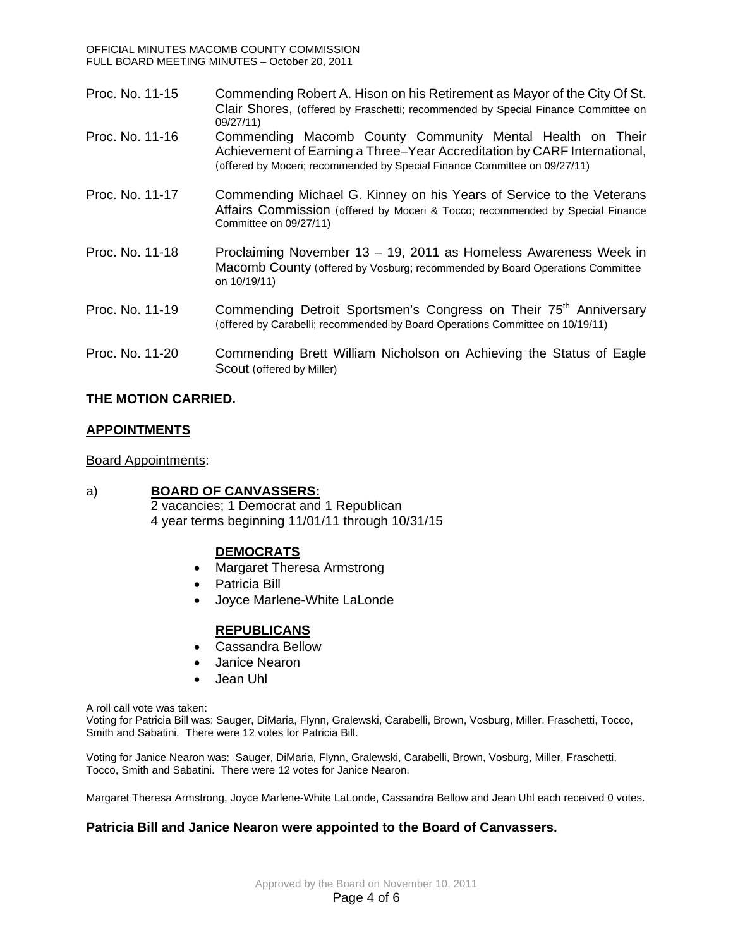| Proc. No. 11-15 | Commending Robert A. Hison on his Retirement as Mayor of the City Of St.<br>Clair Shores, (offered by Fraschetti; recommended by Special Finance Committee on<br>09/27/11                                          |
|-----------------|--------------------------------------------------------------------------------------------------------------------------------------------------------------------------------------------------------------------|
| Proc. No. 11-16 | Commending Macomb County Community Mental Health on Their<br>Achievement of Earning a Three-Year Accreditation by CARF International,<br>(offered by Moceri; recommended by Special Finance Committee on 09/27/11) |
| Proc. No. 11-17 | Commending Michael G. Kinney on his Years of Service to the Veterans<br>Affairs Commission (offered by Moceri & Tocco; recommended by Special Finance<br>Committee on 09/27/11)                                    |
| Proc. No. 11-18 | Proclaiming November 13 - 19, 2011 as Homeless Awareness Week in<br>Macomb County (offered by Vosburg; recommended by Board Operations Committee<br>on 10/19/11)                                                   |
| Proc. No. 11-19 | Commending Detroit Sportsmen's Congress on Their 75 <sup>th</sup> Anniversary<br>(offered by Carabelli; recommended by Board Operations Committee on 10/19/11)                                                     |
| Proc. No. 11-20 | Commending Brett William Nicholson on Achieving the Status of Eagle<br>Scout (offered by Miller)                                                                                                                   |

# **THE MOTION CARRIED.**

# **APPOINTMENTS**

# Board Appointments:

# a) **BOARD OF CANVASSERS:**

2 vacancies; 1 Democrat and 1 Republican 4 year terms beginning 11/01/11 through 10/31/15

# **DEMOCRATS**

- Margaret Theresa Armstrong
- Patricia Bill
- Joyce Marlene-White LaLonde

# **REPUBLICANS**

- Cassandra Bellow
- Janice Nearon
- Jean Uhl

A roll call vote was taken:

Voting for Patricia Bill was: Sauger, DiMaria, Flynn, Gralewski, Carabelli, Brown, Vosburg, Miller, Fraschetti, Tocco, Smith and Sabatini. There were 12 votes for Patricia Bill.

Voting for Janice Nearon was: Sauger, DiMaria, Flynn, Gralewski, Carabelli, Brown, Vosburg, Miller, Fraschetti, Tocco, Smith and Sabatini. There were 12 votes for Janice Nearon.

Margaret Theresa Armstrong, Joyce Marlene-White LaLonde, Cassandra Bellow and Jean Uhl each received 0 votes.

# **Patricia Bill and Janice Nearon were appointed to the Board of Canvassers.**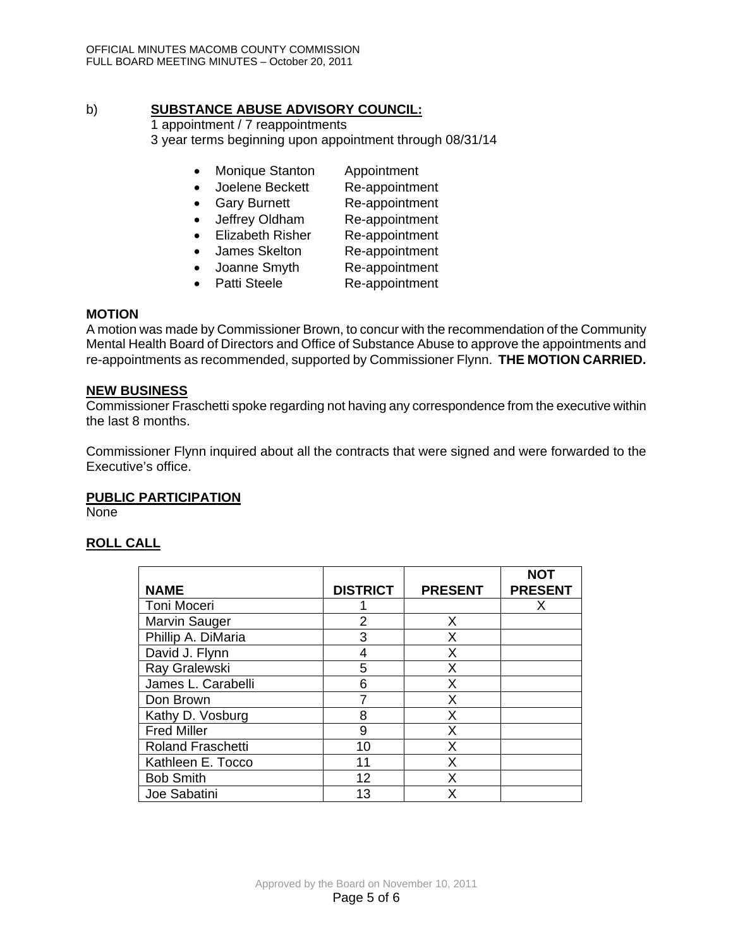# b) **SUBSTANCE ABUSE ADVISORY COUNCIL:**

1 appointment / 7 reappointments 3 year terms beginning upon appointment through 08/31/14

- Monique Stanton Appointment
- Joelene Beckett Re-appointment
- Gary Burnett Re-appointment
- Jeffrey Oldham Re-appointment
- Elizabeth Risher Re-appointment
- James Skelton Re-appointment
- Joanne Smyth Re-appointment
- Patti Steele Re-appointment

### **MOTION**

A motion was made by Commissioner Brown, to concur with the recommendation of the Community Mental Health Board of Directors and Office of Substance Abuse to approve the appointments and re-appointments as recommended, supported by Commissioner Flynn. **THE MOTION CARRIED.** 

#### **NEW BUSINESS**

Commissioner Fraschetti spoke regarding not having any correspondence from the executive within the last 8 months.

Commissioner Flynn inquired about all the contracts that were signed and were forwarded to the Executive's office.

# **PUBLIC PARTICIPATION**

None

# **ROLL CALL**

|                          |                 |                | <b>NOT</b>     |
|--------------------------|-----------------|----------------|----------------|
| <b>NAME</b>              | <b>DISTRICT</b> | <b>PRESENT</b> | <b>PRESENT</b> |
| Toni Moceri              |                 |                | x              |
| Marvin Sauger            | 2               | X              |                |
| Phillip A. DiMaria       | 3               | X              |                |
| David J. Flynn           | 4               | Χ              |                |
| Ray Gralewski            | 5               | X              |                |
| James L. Carabelli       | 6               | Χ              |                |
| Don Brown                |                 | X              |                |
| Kathy D. Vosburg         | 8               | Χ              |                |
| <b>Fred Miller</b>       | 9               | Χ              |                |
| <b>Roland Fraschetti</b> | 10              | Χ              |                |
| Kathleen E. Tocco        | 11              | X              |                |
| <b>Bob Smith</b>         | 12              | Χ              |                |
| Joe Sabatini             | 13              | x              |                |